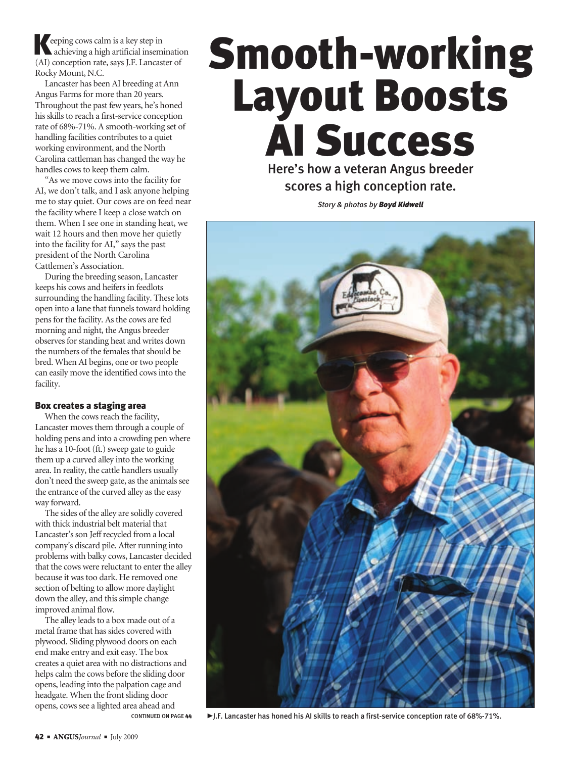Keeping cows calm is a key step in achieving a high artificial insemination (AI) conception rate, says J.F. Lancaster of Rocky Mount, N.C.

Lancaster has been AI breeding at Ann Angus Farms for more than 20 years. Throughout the past few years, he's honed his skills to reach a first-service conception rate of 68%-71%. A smooth-working set of handling facilities contributes to a quiet working environment, and the North Carolina cattleman has changed the way he handles cows to keep them calm.

"As we move cows into the facility for AI, we don't talk, and I ask anyone helping me to stay quiet. Our cows are on feed near the facility where I keep a close watch on them. When I see one in standing heat, we wait 12 hours and then move her quietly into the facility for AI," says the past president of the North Carolina Cattlemen's Association.

During the breeding season, Lancaster keeps his cows and heifers in feedlots surrounding the handling facility. These lots open into a lane that funnels toward holding pens for the facility. As the cows are fed morning and night, the Angus breeder observes for standing heat and writes down the numbers of the females that should be bred. When AI begins, one or two people can easily move the identified cows into the facility.

### Box creates a staging area

When the cows reach the facility, Lancaster moves them through a couple of holding pens and into a crowding pen where he has a 10-foot (ft.) sweep gate to guide them up a curved alley into the working area. In reality, the cattle handlers usually don't need the sweep gate, as the animals see the entrance of the curved alley as the easy way forward.

The sides of the alley are solidly covered with thick industrial belt material that Lancaster's son Jeff recycled from a local company's discard pile. After running into problems with balky cows, Lancaster decided that the cows were reluctant to enter the alley because it was too dark. He removed one section of belting to allow more daylight down the alley, and this simple change improved animal flow.

The alley leads to a box made out of a metal frame that has sides covered with plywood. Sliding plywood doors on each end make entry and exit easy. The box creates a quiet area with no distractions and helps calm the cows before the sliding door opens, leading into the palpation cage and headgate. When the front sliding door opens, cows see a lighted area ahead and CONTINUED ON PAGE 44

# Smooth-working Layout Boosts AI Success

Here's how a veteran Angus breeder scores a high conception rate.

*Story & photos by Boyd Kidwell*



► J.F. Lancaster has honed his AI skills to reach a first-service conception rate of 68%-71%.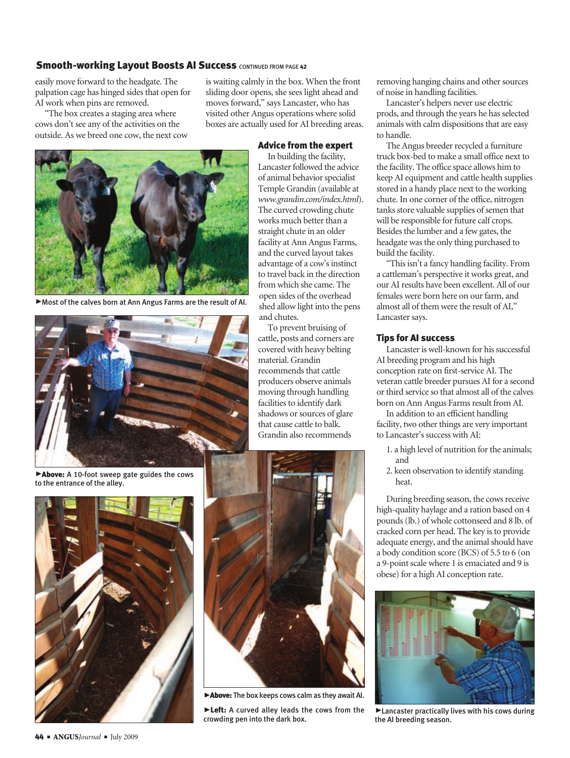# Smooth-working Layout Boosts AI Success CONTINUED FROM PAGE 42

easily move forward to the headgate. The palpation cage has hinged sides that open for AI work when pins are removed.

"The box creates a staging area where cows don't see any of the activities on the outside. As we breed one cow, the next cow is waiting calmly in the box. When the front sliding door opens, she sees light ahead and moves forward," says Lancaster, who has visited other Angus operations where solid boxes are actually used for AI breeding areas.

and chutes.

To prevent bruising of cattle, posts and corners are covered with heavy belting material. Grandin recommends that cattle producers observe animals moving through handling facilities to identify dark

Advice from the expert In building the facility, Lancaster followed the advice of animal behavior specialist Temple Grandin (available at *www.grandin.com/index.html*). The curved crowding chute works much better than a straight chute in an older facility at Ann Angus Farms, and the curved layout takes advantage of a cow's instinct to travel back in the direction from which she came. The open sides of the overhead shed allow light into the pens



@Most of the calves born at Ann Angus Farms are the result of AI.



Above: A 10-foot sweep gate guides the cows to the entrance of the alley.





Above: The box keeps cows calm as they await AI.

Eeft: A curved alley leads the cows from the crowding pen into the dark box.

removing hanging chains and other sources of noise in handling facilities.

Lancaster's helpers never use electric prods, and through the years he has selected animals with calm dispositions that are easy to handle.

The Angus breeder recycled a furniture truck box-bed to make a small office next to the facility. The office space allows him to keep AI equipment and cattle health supplies stored in a handy place next to the working chute. In one corner of the office, nitrogen tanks store valuable supplies of semen that will be responsible for future calf crops. Besides the lumber and a few gates, the headgate was the only thing purchased to build the facility.

"This isn't a fancy handling facility. From a cattleman's perspective it works great, and our AI results have been excellent. All of our females were born here on our farm, and almost all of them were the result of AI," Lancaster says.

### Tips for AI success

Lancaster is well-known for his successful AI breeding program and his high conception rate on first-service AI. The veteran cattle breeder pursues AI for a second or third service so that almost all of the calves born on Ann Angus Farms result from AI.

In addition to an efficient handling facility, two other things are very important to Lancaster's success with AI:

- 1. a high level of nutrition for the animals; and
- 2. keen observation to identify standing heat.

During breeding season, the cows receive high-quality haylage and a ration based on 4 pounds (lb.) of whole cottonseed and 8 lb. of cracked corn per head. The key is to provide adequate energy, and the animal should have a body condition score (BCS) of 5.5 to 6 (on a 9-point scale where 1 is emaciated and 9 is obese) for a high AI conception rate.



 $\blacktriangleright$  Lancaster practically lives with his cows during the AI breeding season.